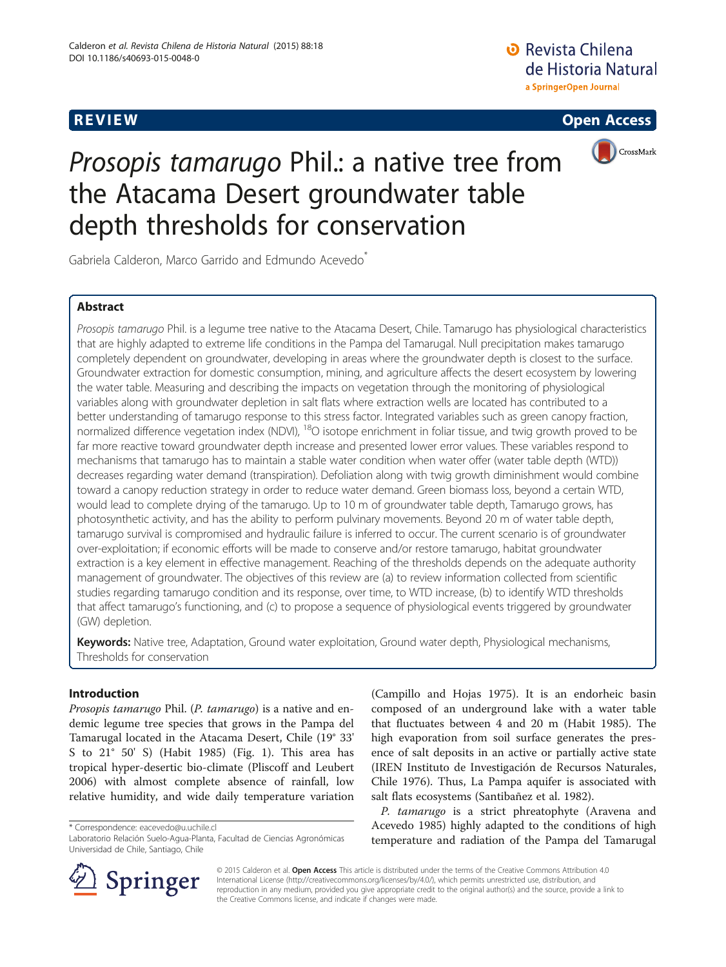



# Prosopis tamarugo Phil.: a native tree from the Atacama Desert groundwater table depth thresholds for conservation

Gabriela Calderon, Marco Garrido and Edmundo Acevedo<sup>\*</sup>

# Abstract

Prosopis tamarugo Phil. is a legume tree native to the Atacama Desert, Chile. Tamarugo has physiological characteristics that are highly adapted to extreme life conditions in the Pampa del Tamarugal. Null precipitation makes tamarugo completely dependent on groundwater, developing in areas where the groundwater depth is closest to the surface. Groundwater extraction for domestic consumption, mining, and agriculture affects the desert ecosystem by lowering the water table. Measuring and describing the impacts on vegetation through the monitoring of physiological variables along with groundwater depletion in salt flats where extraction wells are located has contributed to a better understanding of tamarugo response to this stress factor. Integrated variables such as green canopy fraction, normalized difference vegetation index (NDVI), <sup>18</sup>O isotope enrichment in foliar tissue, and twig growth proved to be far more reactive toward groundwater depth increase and presented lower error values. These variables respond to mechanisms that tamarugo has to maintain a stable water condition when water offer (water table depth (WTD)) decreases regarding water demand (transpiration). Defoliation along with twig growth diminishment would combine toward a canopy reduction strategy in order to reduce water demand. Green biomass loss, beyond a certain WTD, would lead to complete drying of the tamarugo. Up to 10 m of groundwater table depth, Tamarugo grows, has photosynthetic activity, and has the ability to perform pulvinary movements. Beyond 20 m of water table depth, tamarugo survival is compromised and hydraulic failure is inferred to occur. The current scenario is of groundwater over-exploitation; if economic efforts will be made to conserve and/or restore tamarugo, habitat groundwater extraction is a key element in effective management. Reaching of the thresholds depends on the adequate authority management of groundwater. The objectives of this review are (a) to review information collected from scientific studies regarding tamarugo condition and its response, over time, to WTD increase, (b) to identify WTD thresholds that affect tamarugo's functioning, and (c) to propose a sequence of physiological events triggered by groundwater (GW) depletion.

Keywords: Native tree, Adaptation, Ground water exploitation, Ground water depth, Physiological mechanisms, Thresholds for conservation

# Introduction

Prosopis tamarugo Phil. (P. tamarugo) is a native and endemic legume tree species that grows in the Pampa del Tamarugal located in the Atacama Desert, Chile (19° 33' S to 21° 50' S) (Habit [1985](#page-6-0)) (Fig. [1](#page-1-0)). This area has tropical hyper-desertic bio-climate (Pliscoff and Leubert [2006](#page-7-0)) with almost complete absence of rainfall, low relative humidity, and wide daily temperature variation

\* Correspondence: [eacevedo@u.uchile.cl](mailto:eacevedo@u.uchile.cl)

(Campillo and Hojas [1975](#page-6-0)). It is an endorheic basin composed of an underground lake with a water table that fluctuates between 4 and 20 m (Habit [1985\)](#page-6-0). The high evaporation from soil surface generates the presence of salt deposits in an active or partially active state (IREN Instituto de Investigación de Recursos Naturales, Chile [1976\)](#page-6-0). Thus, La Pampa aquifer is associated with salt flats ecosystems (Santibañez et al. [1982](#page-7-0)).

P. tamarugo is a strict phreatophyte (Aravena and Acevedo [1985\)](#page-6-0) highly adapted to the conditions of high temperature and radiation of the Pampa del Tamarugal



© 2015 Calderon et al. Open Access This article is distributed under the terms of the Creative Commons Attribution 4.0 International License ([http://creativecommons.org/licenses/by/4.0/\)](http://creativecommons.org/licenses/by/4.0/), which permits unrestricted use, distribution, and reproduction in any medium, provided you give appropriate credit to the original author(s) and the source, provide a link to the Creative Commons license, and indicate if changes were made.

Laboratorio Relación Suelo-Agua-Planta, Facultad de Ciencias Agronómicas Universidad de Chile, Santiago, Chile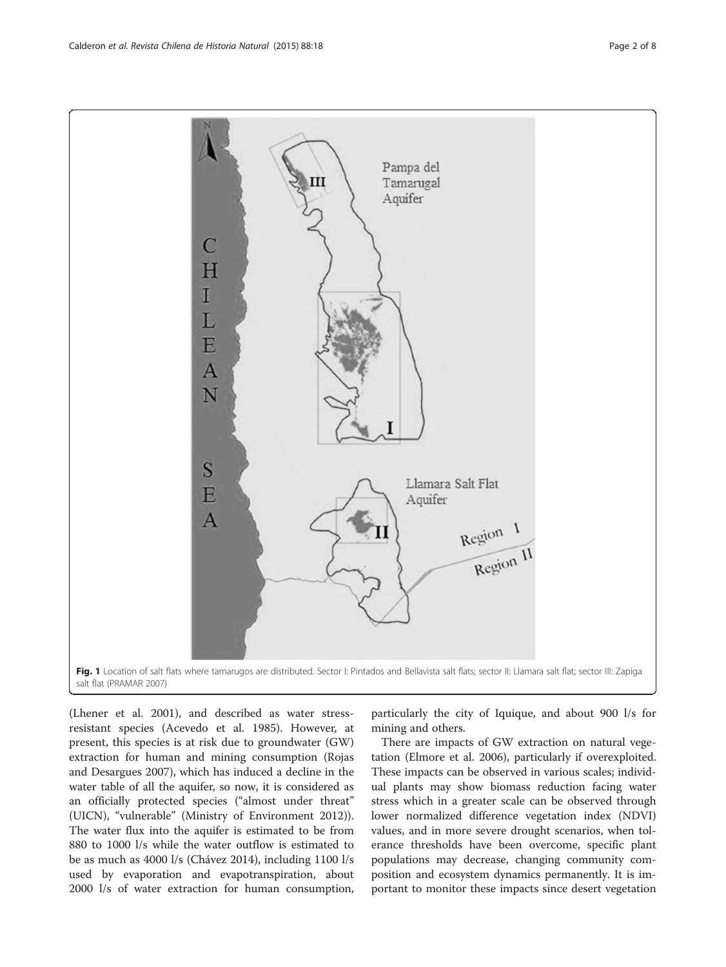(Lhener et al. [2001](#page-6-0)), and described as water stressresistant species (Acevedo et al. [1985\)](#page-6-0). However, at present, this species is at risk due to groundwater (GW) extraction for human and mining consumption (Rojas and Desargues [2007](#page-7-0)), which has induced a decline in the water table of all the aquifer, so now, it is considered as an officially protected species ("almost under threat" (UICN), "vulnerable" (Ministry of Environment [2012](#page-7-0))). The water flux into the aquifer is estimated to be from 880 to 1000 l/s while the water outflow is estimated to be as much as 4000 l/s (Chávez [2014\)](#page-6-0), including 1100 l/s used by evaporation and evapotranspiration, about 2000 l/s of water extraction for human consumption,

particularly the city of Iquique, and about 900 l/s for mining and others.

There are impacts of GW extraction on natural vegetation (Elmore et al. [2006\)](#page-6-0), particularly if overexploited. These impacts can be observed in various scales; individual plants may show biomass reduction facing water stress which in a greater scale can be observed through lower normalized difference vegetation index (NDVI) values, and in more severe drought scenarios, when tolerance thresholds have been overcome, specific plant populations may decrease, changing community composition and ecosystem dynamics permanently. It is important to monitor these impacts since desert vegetation

<span id="page-1-0"></span>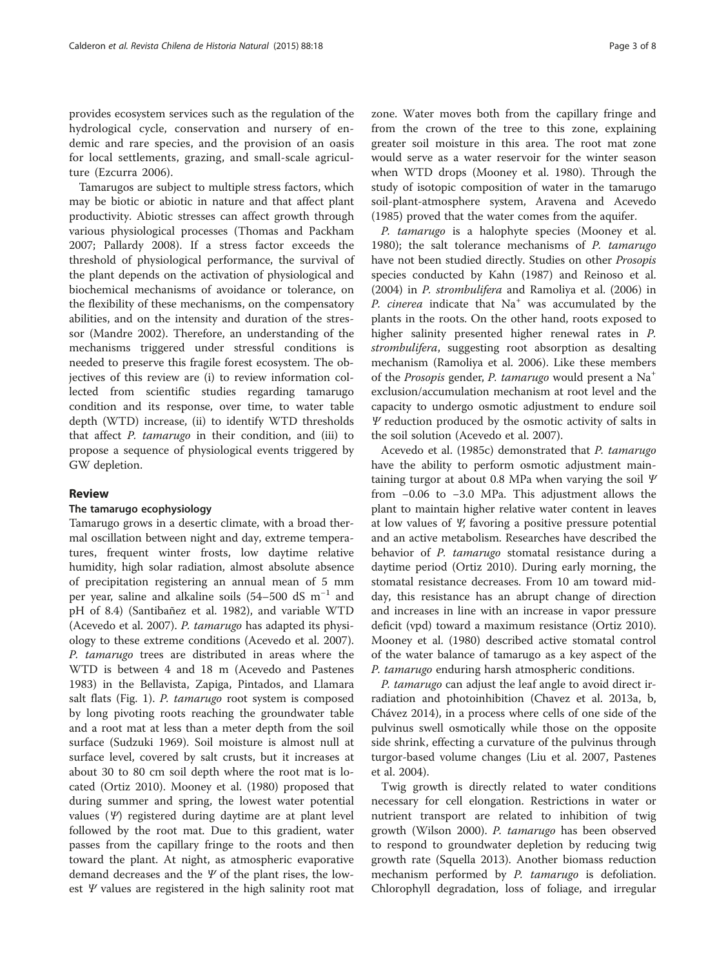provides ecosystem services such as the regulation of the hydrological cycle, conservation and nursery of endemic and rare species, and the provision of an oasis for local settlements, grazing, and small-scale agriculture (Ezcurra [2006\)](#page-6-0).

Tamarugos are subject to multiple stress factors, which may be biotic or abiotic in nature and that affect plant productivity. Abiotic stresses can affect growth through various physiological processes (Thomas and Packham [2007](#page-7-0); Pallardy [2008](#page-7-0)). If a stress factor exceeds the threshold of physiological performance, the survival of the plant depends on the activation of physiological and biochemical mechanisms of avoidance or tolerance, on the flexibility of these mechanisms, on the compensatory abilities, and on the intensity and duration of the stressor (Mandre [2002\)](#page-6-0). Therefore, an understanding of the mechanisms triggered under stressful conditions is needed to preserve this fragile forest ecosystem. The objectives of this review are (i) to review information collected from scientific studies regarding tamarugo condition and its response, over time, to water table depth (WTD) increase, (ii) to identify WTD thresholds that affect P. tamarugo in their condition, and (iii) to propose a sequence of physiological events triggered by GW depletion.

### Review

### The tamarugo ecophysiology

Tamarugo grows in a desertic climate, with a broad thermal oscillation between night and day, extreme temperatures, frequent winter frosts, low daytime relative humidity, high solar radiation, almost absolute absence of precipitation registering an annual mean of 5 mm per year, saline and alkaline soils (54–500 dS  $m^{-1}$  and pH of 8.4) (Santibañez et al. [1982](#page-7-0)), and variable WTD (Acevedo et al. [2007](#page-6-0)). P. tamarugo has adapted its physiology to these extreme conditions (Acevedo et al. [2007](#page-6-0)). P. tamarugo trees are distributed in areas where the WTD is between 4 and 18 m (Acevedo and Pastenes [1983](#page-6-0)) in the Bellavista, Zapiga, Pintados, and Llamara salt flats (Fig. [1\)](#page-1-0). P. tamarugo root system is composed by long pivoting roots reaching the groundwater table and a root mat at less than a meter depth from the soil surface (Sudzuki [1969\)](#page-7-0). Soil moisture is almost null at surface level, covered by salt crusts, but it increases at about 30 to 80 cm soil depth where the root mat is located (Ortiz [2010\)](#page-7-0). Mooney et al. ([1980](#page-7-0)) proposed that during summer and spring, the lowest water potential values (Ψ) registered during daytime are at plant level followed by the root mat. Due to this gradient, water passes from the capillary fringe to the roots and then toward the plant. At night, as atmospheric evaporative demand decreases and the  $\Psi$  of the plant rises, the lowest  $\Psi$  values are registered in the high salinity root mat zone. Water moves both from the capillary fringe and from the crown of the tree to this zone, explaining greater soil moisture in this area. The root mat zone would serve as a water reservoir for the winter season when WTD drops (Mooney et al. [1980\)](#page-7-0). Through the study of isotopic composition of water in the tamarugo soil-plant-atmosphere system, Aravena and Acevedo ([1985\)](#page-6-0) proved that the water comes from the aquifer.

P. tamarugo is a halophyte species (Mooney et al. [1980](#page-7-0)); the salt tolerance mechanisms of P. tamarugo have not been studied directly. Studies on other Prosopis species conducted by Kahn [\(1987\)](#page-6-0) and Reinoso et al. ([2004\)](#page-7-0) in P. strombulifera and Ramoliya et al. ([2006\)](#page-7-0) in P. cinerea indicate that  $Na<sup>+</sup>$  was accumulated by the plants in the roots. On the other hand, roots exposed to higher salinity presented higher renewal rates in P. strombulifera, suggesting root absorption as desalting mechanism (Ramoliya et al. [2006\)](#page-7-0). Like these members of the *Prosopis* gender, *P. tamarugo* would present a  $Na<sup>+</sup>$ exclusion/accumulation mechanism at root level and the capacity to undergo osmotic adjustment to endure soil Ψ reduction produced by the osmotic activity of salts in the soil solution (Acevedo et al. [2007\)](#page-6-0).

Acevedo et al. [\(1985c](#page-6-0)) demonstrated that P. tamarugo have the ability to perform osmotic adjustment maintaining turgor at about 0.8 MPa when varying the soil  $\Psi$ from −0.06 to −3.0 MPa. This adjustment allows the plant to maintain higher relative water content in leaves at low values of Ψ, favoring a positive pressure potential and an active metabolism. Researches have described the behavior of P. tamarugo stomatal resistance during a daytime period (Ortiz [2010](#page-7-0)). During early morning, the stomatal resistance decreases. From 10 am toward midday, this resistance has an abrupt change of direction and increases in line with an increase in vapor pressure deficit (vpd) toward a maximum resistance (Ortiz [2010](#page-7-0)). Mooney et al. ([1980](#page-7-0)) described active stomatal control of the water balance of tamarugo as a key aspect of the P. tamarugo enduring harsh atmospheric conditions.

P. tamarugo can adjust the leaf angle to avoid direct irradiation and photoinhibition (Chavez et al. 201[3a](#page-6-0), [b,](#page-6-0) Chávez [2014](#page-6-0)), in a process where cells of one side of the pulvinus swell osmotically while those on the opposite side shrink, effecting a curvature of the pulvinus through turgor-based volume changes (Liu et al. [2007](#page-6-0), Pastenes et al. [2004\)](#page-7-0).

Twig growth is directly related to water conditions necessary for cell elongation. Restrictions in water or nutrient transport are related to inhibition of twig growth (Wilson [2000\)](#page-7-0). P. tamarugo has been observed to respond to groundwater depletion by reducing twig growth rate (Squella [2013](#page-7-0)). Another biomass reduction mechanism performed by *P. tamarugo* is defoliation. Chlorophyll degradation, loss of foliage, and irregular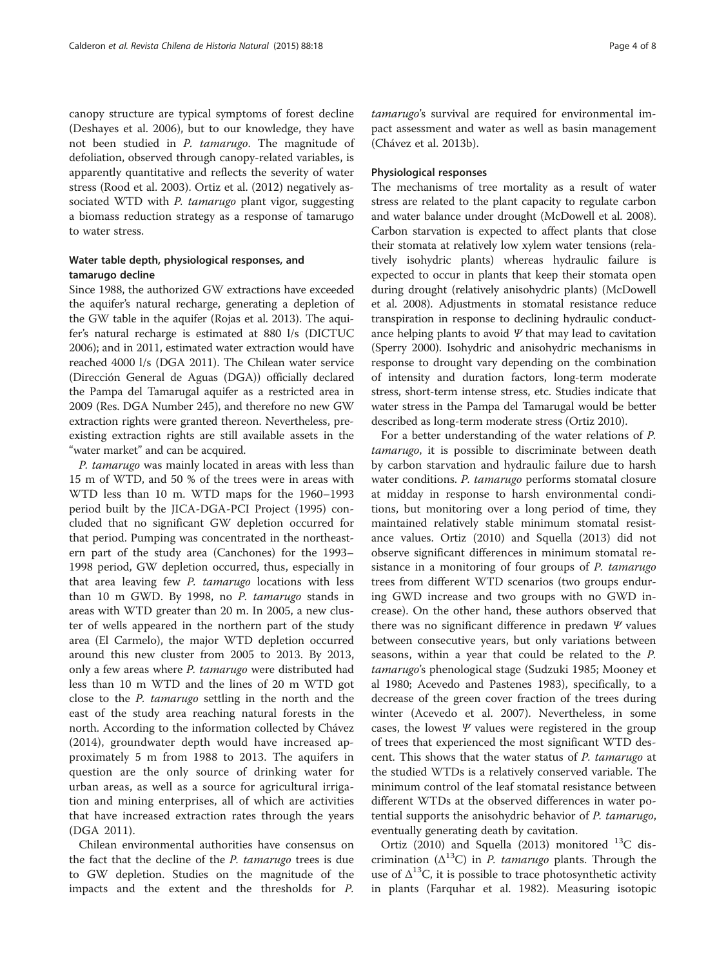canopy structure are typical symptoms of forest decline (Deshayes et al. [2006](#page-6-0)), but to our knowledge, they have not been studied in P. tamarugo. The magnitude of defoliation, observed through canopy-related variables, is apparently quantitative and reflects the severity of water stress (Rood et al. [2003\)](#page-7-0). Ortiz et al. ([2012](#page-7-0)) negatively associated WTD with *P. tamarugo* plant vigor, suggesting a biomass reduction strategy as a response of tamarugo to water stress.

# Water table depth, physiological responses, and tamarugo decline

Since 1988, the authorized GW extractions have exceeded the aquifer's natural recharge, generating a depletion of the GW table in the aquifer (Rojas et al. [2013](#page-7-0)). The aquifer's natural recharge is estimated at 880 l/s (DICTUC [2006\)](#page-6-0); and in 2011, estimated water extraction would have reached 4000 l/s (DGA [2011\)](#page-6-0). The Chilean water service (Dirección General de Aguas (DGA)) officially declared the Pampa del Tamarugal aquifer as a restricted area in 2009 (Res. DGA Number 245), and therefore no new GW extraction rights were granted thereon. Nevertheless, preexisting extraction rights are still available assets in the "water market" and can be acquired.

P. tamarugo was mainly located in areas with less than 15 m of WTD, and 50 % of the trees were in areas with WTD less than 10 m. WTD maps for the 1960–1993 period built by the JICA-DGA-PCI Project [\(1995\)](#page-6-0) concluded that no significant GW depletion occurred for that period. Pumping was concentrated in the northeastern part of the study area (Canchones) for the 1993– 1998 period, GW depletion occurred, thus, especially in that area leaving few P. tamarugo locations with less than 10 m GWD. By 1998, no P. tamarugo stands in areas with WTD greater than 20 m. In 2005, a new cluster of wells appeared in the northern part of the study area (El Carmelo), the major WTD depletion occurred around this new cluster from 2005 to 2013. By 2013, only a few areas where *P. tamarugo* were distributed had less than 10 m WTD and the lines of 20 m WTD got close to the P. tamarugo settling in the north and the east of the study area reaching natural forests in the north. According to the information collected by Chávez ([2014\)](#page-6-0), groundwater depth would have increased approximately 5 m from 1988 to 2013. The aquifers in question are the only source of drinking water for urban areas, as well as a source for agricultural irrigation and mining enterprises, all of which are activities that have increased extraction rates through the years (DGA [2011\)](#page-6-0).

Chilean environmental authorities have consensus on the fact that the decline of the P. tamarugo trees is due to GW depletion. Studies on the magnitude of the impacts and the extent and the thresholds for P.

tamarugo's survival are required for environmental impact assessment and water as well as basin management (Chávez et al. [2013b\)](#page-6-0).

#### Physiological responses

The mechanisms of tree mortality as a result of water stress are related to the plant capacity to regulate carbon and water balance under drought (McDowell et al. [2008](#page-7-0)). Carbon starvation is expected to affect plants that close their stomata at relatively low xylem water tensions (relatively isohydric plants) whereas hydraulic failure is expected to occur in plants that keep their stomata open during drought (relatively anisohydric plants) (McDowell et al. [2008](#page-7-0)). Adjustments in stomatal resistance reduce transpiration in response to declining hydraulic conductance helping plants to avoid  $\Psi$  that may lead to cavitation (Sperry [2000](#page-7-0)). Isohydric and anisohydric mechanisms in response to drought vary depending on the combination of intensity and duration factors, long-term moderate stress, short-term intense stress, etc. Studies indicate that water stress in the Pampa del Tamarugal would be better described as long-term moderate stress (Ortiz [2010\)](#page-7-0).

For a better understanding of the water relations of P. tamarugo, it is possible to discriminate between death by carbon starvation and hydraulic failure due to harsh water conditions. P. tamarugo performs stomatal closure at midday in response to harsh environmental conditions, but monitoring over a long period of time, they maintained relatively stable minimum stomatal resistance values. Ortiz [\(2010](#page-7-0)) and Squella [\(2013\)](#page-7-0) did not observe significant differences in minimum stomatal resistance in a monitoring of four groups of P. tamarugo trees from different WTD scenarios (two groups enduring GWD increase and two groups with no GWD increase). On the other hand, these authors observed that there was no significant difference in predawn  $\Psi$  values between consecutive years, but only variations between seasons, within a year that could be related to the P. tamarugo's phenological stage (Sudzuki [1985](#page-7-0); Mooney et al [1980;](#page-7-0) Acevedo and Pastenes [1983\)](#page-6-0), specifically, to a decrease of the green cover fraction of the trees during winter (Acevedo et al. [2007\)](#page-6-0). Nevertheless, in some cases, the lowest  $\Psi$  values were registered in the group of trees that experienced the most significant WTD descent. This shows that the water status of P. tamarugo at the studied WTDs is a relatively conserved variable. The minimum control of the leaf stomatal resistance between different WTDs at the observed differences in water potential supports the anisohydric behavior of P. tamarugo, eventually generating death by cavitation.

Ortiz [\(2010](#page-7-0)) and Squella [\(2013\)](#page-7-0) monitored  $^{13}C$  discrimination ( $\Delta^{13}$ C) in *P. tamarugo* plants. Through the use of  $\Delta^{13}$ C, it is possible to trace photosynthetic activity in plants (Farquhar et al. [1982](#page-6-0)). Measuring isotopic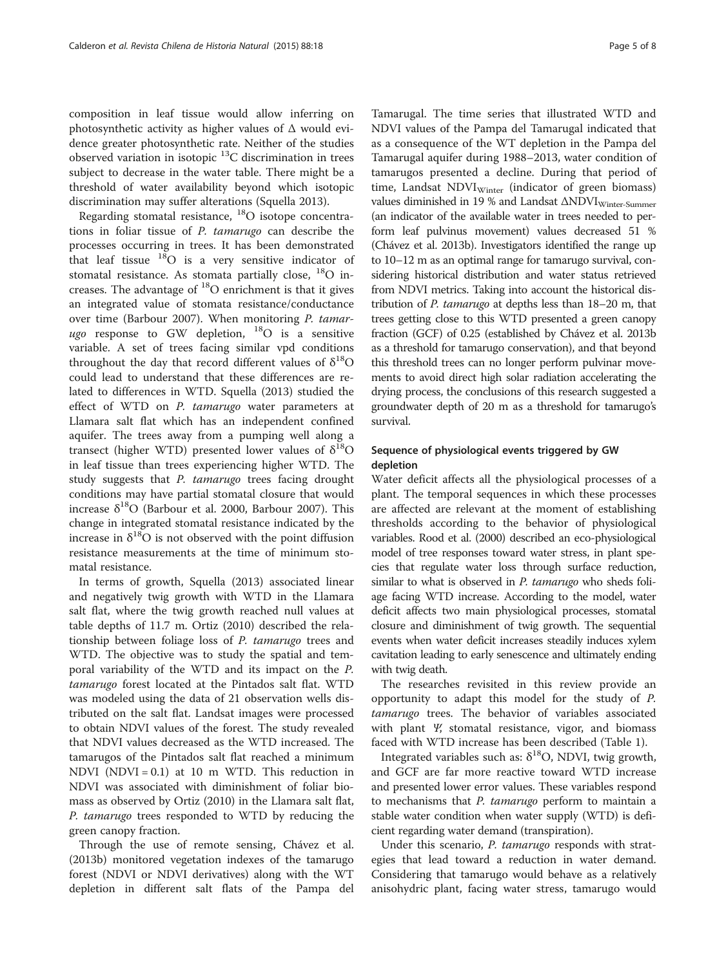composition in leaf tissue would allow inferring on photosynthetic activity as higher values of Δ would evidence greater photosynthetic rate. Neither of the studies observed variation in isotopic 13C discrimination in trees subject to decrease in the water table. There might be a threshold of water availability beyond which isotopic discrimination may suffer alterations (Squella [2013](#page-7-0)).

Regarding stomatal resistance,  $^{18}$ O isotope concentrations in foliar tissue of P. tamarugo can describe the processes occurring in trees. It has been demonstrated that leaf tissue  $18$ O is a very sensitive indicator of stomatal resistance. As stomata partially close,  $^{18}O$  increases. The advantage of  $^{18}$ O enrichment is that it gives an integrated value of stomata resistance/conductance over time (Barbour [2007](#page-6-0)). When monitoring P. tamarugo response to GW depletion,  $^{18}O$  is a sensitive variable. A set of trees facing similar vpd conditions throughout the day that record different values of  $\delta^{18}O$ could lead to understand that these differences are related to differences in WTD. Squella ([2013](#page-7-0)) studied the effect of WTD on P. tamarugo water parameters at Llamara salt flat which has an independent confined aquifer. The trees away from a pumping well along a transect (higher WTD) presented lower values of  $\delta^{18}O$ in leaf tissue than trees experiencing higher WTD. The study suggests that P. tamarugo trees facing drought conditions may have partial stomatal closure that would increase  $\delta^{18}$ O (Barbour et al. [2000](#page-6-0), Barbour [2007](#page-6-0)). This change in integrated stomatal resistance indicated by the increase in  $\delta^{18}O$  is not observed with the point diffusion resistance measurements at the time of minimum stomatal resistance.

In terms of growth, Squella [\(2013](#page-7-0)) associated linear and negatively twig growth with WTD in the Llamara salt flat, where the twig growth reached null values at table depths of 11.7 m. Ortiz [\(2010\)](#page-7-0) described the relationship between foliage loss of P. tamarugo trees and WTD. The objective was to study the spatial and temporal variability of the WTD and its impact on the P. tamarugo forest located at the Pintados salt flat. WTD was modeled using the data of 21 observation wells distributed on the salt flat. Landsat images were processed to obtain NDVI values of the forest. The study revealed that NDVI values decreased as the WTD increased. The tamarugos of the Pintados salt flat reached a minimum NDVI (NDVI =  $0.1$ ) at 10 m WTD. This reduction in NDVI was associated with diminishment of foliar biomass as observed by Ortiz [\(2010\)](#page-7-0) in the Llamara salt flat, P. tamarugo trees responded to WTD by reducing the green canopy fraction.

Through the use of remote sensing, Chávez et al. ([2013b\)](#page-6-0) monitored vegetation indexes of the tamarugo forest (NDVI or NDVI derivatives) along with the WT depletion in different salt flats of the Pampa del

Tamarugal. The time series that illustrated WTD and NDVI values of the Pampa del Tamarugal indicated that as a consequence of the WT depletion in the Pampa del Tamarugal aquifer during 1988–2013, water condition of tamarugos presented a decline. During that period of time, Landsat NDVI<sub>Winter</sub> (indicator of green biomass) values diminished in 19 % and Landsat ΔNDVI<sub>Winter-Summer</sub> (an indicator of the available water in trees needed to perform leaf pulvinus movement) values decreased 51 % (Chávez et al. [2013b](#page-6-0)). Investigators identified the range up to 10–12 m as an optimal range for tamarugo survival, considering historical distribution and water status retrieved from NDVI metrics. Taking into account the historical distribution of P. tamarugo at depths less than 18–20 m, that trees getting close to this WTD presented a green canopy fraction (GCF) of 0.25 (established by Chávez et al. [2013b](#page-6-0) as a threshold for tamarugo conservation), and that beyond this threshold trees can no longer perform pulvinar movements to avoid direct high solar radiation accelerating the drying process, the conclusions of this research suggested a groundwater depth of 20 m as a threshold for tamarugo's survival.

# Sequence of physiological events triggered by GW depletion

Water deficit affects all the physiological processes of a plant. The temporal sequences in which these processes are affected are relevant at the moment of establishing thresholds according to the behavior of physiological variables. Rood et al. [\(2000\)](#page-7-0) described an eco-physiological model of tree responses toward water stress, in plant species that regulate water loss through surface reduction, similar to what is observed in *P. tamarugo* who sheds foliage facing WTD increase. According to the model, water deficit affects two main physiological processes, stomatal closure and diminishment of twig growth. The sequential events when water deficit increases steadily induces xylem cavitation leading to early senescence and ultimately ending with twig death.

The researches revisited in this review provide an opportunity to adapt this model for the study of P. tamarugo trees. The behavior of variables associated with plant Ψ, stomatal resistance, vigor, and biomass faced with WTD increase has been described (Table [1](#page-5-0)).

Integrated variables such as:  $\delta^{18}O$ , NDVI, twig growth, and GCF are far more reactive toward WTD increase and presented lower error values. These variables respond to mechanisms that *P. tamarugo* perform to maintain a stable water condition when water supply (WTD) is deficient regarding water demand (transpiration).

Under this scenario, *P. tamarugo* responds with strategies that lead toward a reduction in water demand. Considering that tamarugo would behave as a relatively anisohydric plant, facing water stress, tamarugo would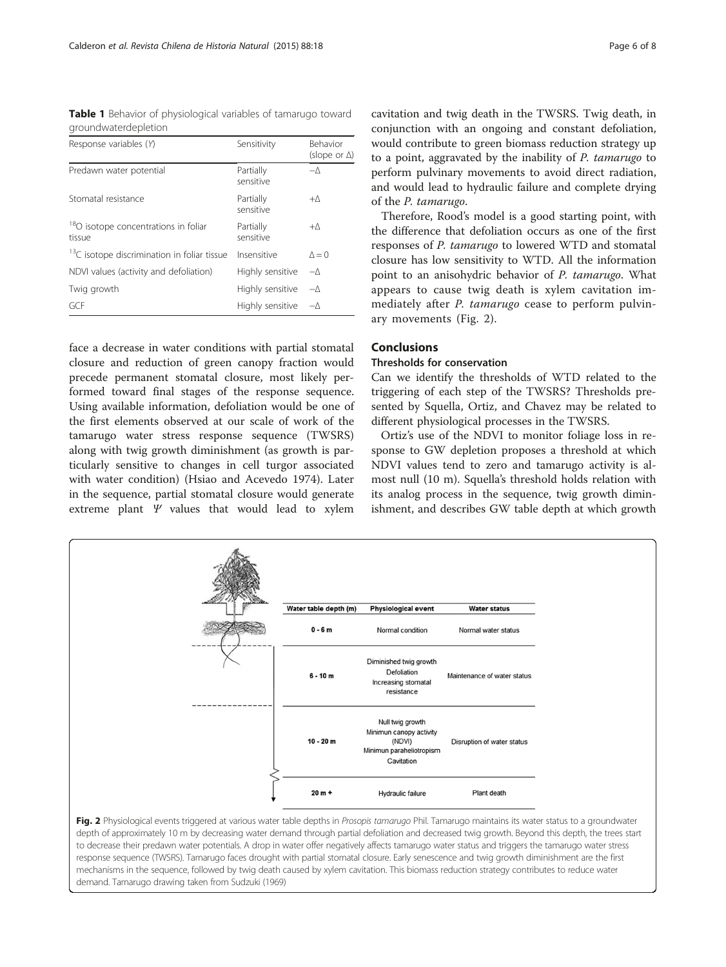<span id="page-5-0"></span>Table 1 Behavior of physiological variables of tamarugo toward groundwaterdepletion

| Response variables (Y)                                     | Sensitivity                | <b>Behavior</b><br>(slope or $\Delta$ ) |
|------------------------------------------------------------|----------------------------|-----------------------------------------|
| Predawn water potential                                    | Partially<br>sensitive     | $-\wedge$                               |
| Stomatal resistance                                        | Partially<br>sensitive     | $+\wedge$                               |
| <sup>18</sup> O isotope concentrations in foliar<br>tissue | Partially<br>sensitive     | $+\wedge$                               |
| <sup>13</sup> C isotope discrimination in foliar tissue    | Insensitive                | $\Lambda = 0$                           |
| NDVI values (activity and defoliation)                     | Highly sensitive           | $-\Delta$                               |
| Twig growth                                                | Highly sensitive           | $-\Delta$                               |
| GCF                                                        | Highly sensitive $-\Delta$ |                                         |

face a decrease in water conditions with partial stomatal closure and reduction of green canopy fraction would precede permanent stomatal closure, most likely performed toward final stages of the response sequence. Using available information, defoliation would be one of the first elements observed at our scale of work of the tamarugo water stress response sequence (TWSRS) along with twig growth diminishment (as growth is particularly sensitive to changes in cell turgor associated with water condition) (Hsiao and Acevedo [1974\)](#page-6-0). Later in the sequence, partial stomatal closure would generate extreme plant  $\Psi$  values that would lead to xylem

cavitation and twig death in the TWSRS. Twig death, in conjunction with an ongoing and constant defoliation, would contribute to green biomass reduction strategy up to a point, aggravated by the inability of P. tamarugo to perform pulvinary movements to avoid direct radiation, and would lead to hydraulic failure and complete drying of the P. tamarugo.

Therefore, Rood's model is a good starting point, with the difference that defoliation occurs as one of the first responses of P. tamarugo to lowered WTD and stomatal closure has low sensitivity to WTD. All the information point to an anisohydric behavior of P. tamarugo. What appears to cause twig death is xylem cavitation immediately after P. tamarugo cease to perform pulvinary movements (Fig. 2).

# Conclusions

# Thresholds for conservation

Can we identify the thresholds of WTD related to the triggering of each step of the TWSRS? Thresholds presented by Squella, Ortiz, and Chavez may be related to different physiological processes in the TWSRS.

Ortiz's use of the NDVI to monitor foliage loss in response to GW depletion proposes a threshold at which NDVI values tend to zero and tamarugo activity is almost null (10 m). Squella's threshold holds relation with its analog process in the sequence, twig growth diminishment, and describes GW table depth at which growth



Fig. 2 Physiological events triggered at various water table depths in Prosopis tamarugo Phil. Tamarugo maintains its water status to a groundwater depth of approximately 10 m by decreasing water demand through partial defoliation and decreased twig growth. Beyond this depth, the trees start to decrease their predawn water potentials. A drop in water offer negatively affects tamarugo water status and triggers the tamarugo water stress response sequence (TWSRS). Tamarugo faces drought with partial stomatal closure. Early senescence and twig growth diminishment are the first mechanisms in the sequence, followed by twig death caused by xylem cavitation. This biomass reduction strategy contributes to reduce water demand. Tamarugo drawing taken from Sudzuki ([1969\)](#page-7-0)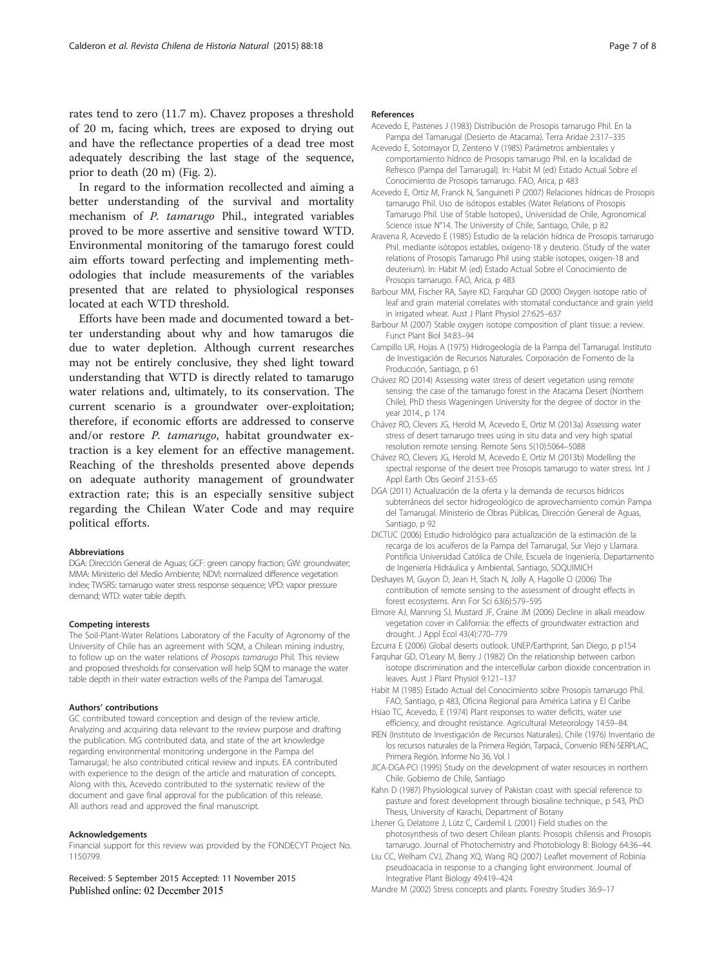<span id="page-6-0"></span>rates tend to zero (11.7 m). Chavez proposes a threshold of 20 m, facing which, trees are exposed to drying out and have the reflectance properties of a dead tree most adequately describing the last stage of the sequence, prior to death (20 m) (Fig. [2](#page-5-0)).

In regard to the information recollected and aiming a better understanding of the survival and mortality mechanism of P. tamarugo Phil., integrated variables proved to be more assertive and sensitive toward WTD. Environmental monitoring of the tamarugo forest could aim efforts toward perfecting and implementing methodologies that include measurements of the variables presented that are related to physiological responses located at each WTD threshold.

Efforts have been made and documented toward a better understanding about why and how tamarugos die due to water depletion. Although current researches may not be entirely conclusive, they shed light toward understanding that WTD is directly related to tamarugo water relations and, ultimately, to its conservation. The current scenario is a groundwater over-exploitation; therefore, if economic efforts are addressed to conserve and/or restore P. tamarugo, habitat groundwater extraction is a key element for an effective management. Reaching of the thresholds presented above depends on adequate authority management of groundwater extraction rate; this is an especially sensitive subject regarding the Chilean Water Code and may require political efforts.

#### Abbreviations

DGA: Dirección General de Aguas; GCF: green canopy fraction; GW: groundwater; MMA: Ministerio del Medio Ambiente; NDVI: normalized difference vegetation index; TWSRS: tamarugo water stress response sequence; VPD: vapor pressure demand; WTD: water table depth.

#### Competing interests

The Soil-Plant-Water Relations Laboratory of the Faculty of Agronomy of the University of Chile has an agreement with SQM, a Chilean mining industry, to follow up on the water relations of Prosopis tamarugo Phil. This review and proposed thresholds for conservation will help SQM to manage the water table depth in their water extraction wells of the Pampa del Tamarugal.

#### Authors' contributions

GC contributed toward conception and design of the review article. Analyzing and acquiring data relevant to the review purpose and drafting the publication. MG contributed data, and state of the art knowledge regarding environmental monitoring undergone in the Pampa del Tamarugal; he also contributed critical review and inputs. EA contributed with experience to the design of the article and maturation of concepts. Along with this, Acevedo contributed to the systematic review of the document and gave final approval for the publication of this release. All authors read and approved the final manuscript.

#### Acknowledgements

Financial support for this review was provided by the FONDECYT Project No. 1150799.

Received: 5 September 2015 Accepted: 11 November 2015 Published online: 02 December 2015

#### References

- Acevedo E, Pastenes J (1983) Distribución de Prosopis tamarugo Phil. En la Pampa del Tamarugal (Desierto de Atacama). Terra Aridae 2:317–335
- Acevedo E, Sotomayor D, Zenteno V (1985) Parámetros ambientales y comportamiento hídrico de Prosopis tamarugo Phil. en la localidad de Refresco (Pampa del Tamarugal). In: Habit M (ed) Estado Actual Sobre el Conocimiento de Prosopis tamarugo. FAO, Arica, p 483
- Acevedo E, Ortiz M, Franck N, Sanguineti P (2007) Relaciones hídricas de Prosopis tamarugo Phil. Uso de isótopos estables (Water Relations of Prosopis Tamarugo Phil. Use of Stable Isotopes)., Universidad de Chile, Agronomical Science issue N°14. The University of Chile, Santiago, Chile, p 82
- Aravena R, Acevedo E (1985) Estudio de la relación hídrica de Prosopis tamarugo Phil. mediante isótopos estables, oxígeno-18 y deuterio. (Study of the water relations of Prosopis Tamarugo Phil using stable isotopes, oxigen-18 and deuterium). In: Habit M (ed) Estado Actual Sobre el Conocimiento de Prosopis tamarugo. FAO, Arica, p 483
- Barbour MM, Fischer RA, Sayre KD, Farquhar GD (2000) Oxygen isotope ratio of leaf and grain material correlates with stomatal conductance and grain yield in irrigated wheat. Aust J Plant Physiol 27:625–637
- Barbour M (2007) Stable oxygen isotope composition of plant tissue: a review. Funct Plant Biol 34:83–94
- Campillo UR, Hojas A (1975) Hidrogeología de la Pampa del Tamarugal. Instituto de Investigación de Recursos Naturales. Corporación de Fomento de la Producción, Santiago, p 61
- Chávez RO (2014) Assessing water stress of desert vegetation using remote sensing: the case of the tamarugo forest in the Atacama Desert (Northern Chile), PhD thesis Wageningen University for the degree of doctor in the year 2014., p 174
- Chávez RO, Clevers JG, Herold M, Acevedo E, Ortiz M (2013a) Assessing water stress of desert tamarugo trees using in situ data and very high spatial resolution remote sensing. Remote Sens 5(10):5064–5088
- Chávez RO, Clevers JG, Herold M, Acevedo E, Ortiz M (2013b) Modelling the spectral response of the desert tree Prosopis tamarugo to water stress. Int J Appl Earth Obs Geoinf 21:53–65
- DGA (2011) Actualización de la oferta y la demanda de recursos hídricos subterráneos del sector hidrogeológico de aprovechamiento común Pampa del Tamarugal. Ministerio de Obras Públicas, Dirección General de Aguas, Santiago, p 92
- DICTUC (2006) Estudio hidrológico para actualización de la estimación de la recarga de los acuíferos de la Pampa del Tamarugal, Sur Viejo y Llamara. Pontificia Universidad Católica de Chile, Escuela de Ingeniería, Departamento de Ingeniería Hidráulica y Ambiental, Santiago, SOQUIMICH
- Deshayes M, Guyon D, Jean H, Stach N, Jolly A, Hagolle O (2006) The contribution of remote sensing to the assessment of drought effects in forest ecosystems. Ann For Sci 63(6):579–595
- Elmore AJ, Manning SJ, Mustard JF, Craine JM (2006) Decline in alkali meadow vegetation cover in California: the effects of groundwater extraction and drought. J Appl Ecol 43(4):770–779
- Ezcurra E (2006) Global deserts outlook. UNEP/Earthprint, San Diego, p p154
- Farquhar GD, O'Leary M, Berry J (1982) On the relationship between carbon isotope discrimination and the intercellular carbon dioxide concentration in leaves. Aust J Plant Physiol 9:121–137
- Habit M (1985) Estado Actual del Conocimiento sobre Prosopis tamarugo Phil. FAO, Santiago, p 483, Oficina Regional para América Latina y El Caribe
- Hsiao TC, Acevedo, E (1974) Plant responses to water deficits, water use efficiency, and drought resistance. Agricultural Meteorology 14:59–84.
- IREN (Instituto de Investigación de Recursos Naturales), Chile (1976) Inventario de los recursos naturales de la Primera Región, Tarpacá., Convenio IREN-SERPLAC, Primera Región. Informe No 36, Vol. I
- JICA-DGA-PCI (1995) Study on the development of water resources in northern Chile. Gobierno de Chile, Santiago
- Kahn D (1987) Physiological survey of Pakistan coast with special reference to pasture and forest development through biosaline technique., p 543, PhD Thesis, University of Karachi, Department of Botany
- Lhener G, Delatorre J, Lütz C, Cardemil L (2001) Field studies on the photosynthesis of two desert Chilean plants: Prosopis chilensis and Prosopis tamarugo. Journal of Photochemistry and Photobiology B: Biology 64:36–44.
- Liu CC, Welham CVJ, Zhang XQ, Wang RQ (2007) Leaflet movement of Robinia pseudoacacia in response to a changing light environment. Journal of Integrative Plant Biology 49:419–424
- Mandre M (2002) Stress concepts and plants. Forestry Studies 36:9–17